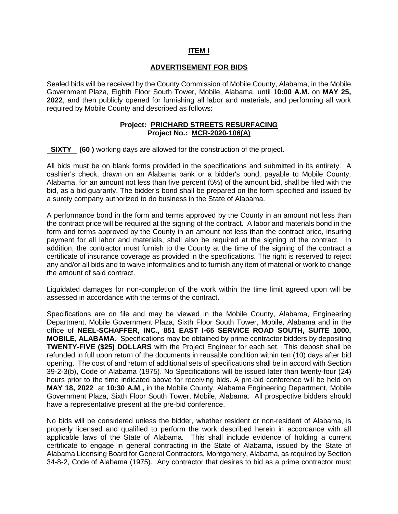## **ITEM I**

## **ADVERTISEMENT FOR BIDS**

Sealed bids will be received by the County Commission of Mobile County, Alabama, in the Mobile Government Plaza, Eighth Floor South Tower, Mobile, Alabama, until 1**0:00 A.M.** on **MAY 25, 2022**, and then publicly opened for furnishing all labor and materials, and performing all work required by Mobile County and described as follows:

## **Project: PRICHARD STREETS RESURFACING Project No.: MCR-2020-106(A)**

**SIXTY** (60) working days are allowed for the construction of the project.

All bids must be on blank forms provided in the specifications and submitted in its entirety. A cashier's check, drawn on an Alabama bank or a bidder's bond, payable to Mobile County, Alabama, for an amount not less than five percent (5%) of the amount bid, shall be filed with the bid, as a bid guaranty. The bidder's bond shall be prepared on the form specified and issued by a surety company authorized to do business in the State of Alabama.

A performance bond in the form and terms approved by the County in an amount not less than the contract price will be required at the signing of the contract. A labor and materials bond in the form and terms approved by the County in an amount not less than the contract price, insuring payment for all labor and materials, shall also be required at the signing of the contract. In addition, the contractor must furnish to the County at the time of the signing of the contract a certificate of insurance coverage as provided in the specifications. The right is reserved to reject any and/or all bids and to waive informalities and to furnish any item of material or work to change the amount of said contract.

Liquidated damages for non-completion of the work within the time limit agreed upon will be assessed in accordance with the terms of the contract.

Specifications are on file and may be viewed in the Mobile County, Alabama, Engineering Department, Mobile Government Plaza, Sixth Floor South Tower, Mobile, Alabama and in the office of **NEEL-SCHAFFER, INC., 851 EAST I-65 SERVICE ROAD SOUTH, SUITE 1000, MOBILE, ALABAMA.** Specifications may be obtained by prime contractor bidders by depositing **TWENTY-FIVE (\$25) DOLLARS** with the Project Engineer for each set. This deposit shall be refunded in full upon return of the documents in reusable condition within ten (10) days after bid opening. The cost of and return of additional sets of specifications shall be in accord with Section 39-2-3(b), Code of Alabama (1975). No Specifications will be issued later than twenty-four (24) hours prior to the time indicated above for receiving bids. A pre-bid conference will be held on **MAY 18, 2022** at **10:30 A.M**.**,** in the Mobile County, Alabama Engineering Department, Mobile Government Plaza, Sixth Floor South Tower, Mobile, Alabama. All prospective bidders should have a representative present at the pre-bid conference.

No bids will be considered unless the bidder, whether resident or non-resident of Alabama, is properly licensed and qualified to perform the work described herein in accordance with all applicable laws of the State of Alabama. This shall include evidence of holding a current certificate to engage in general contracting in the State of Alabama, issued by the State of Alabama Licensing Board for General Contractors, Montgomery, Alabama, as required by Section 34-8-2, Code of Alabama (1975). Any contractor that desires to bid as a prime contractor must